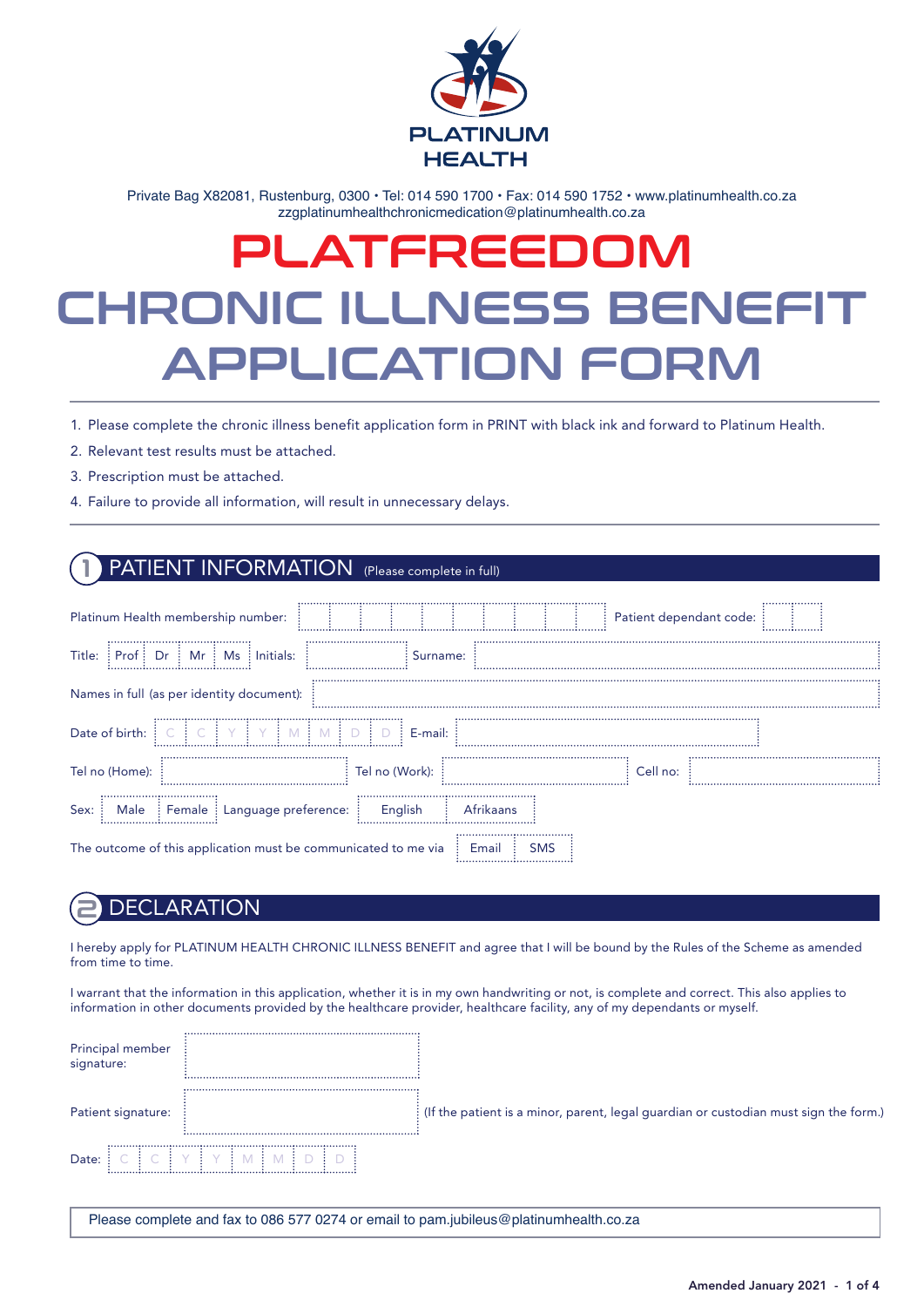

Private Bag X82081, Rustenburg, 0300 · Tel: 014 590 1700 · Fax: 014 590 1752 · www.platinumhealth.co.za zzgplatinumhealthchronicmedication@platinumhealth.co.za

# RONIC II I NESS BENE APPLICATION FOR PLATFREEDOM CHRONIC ILLNESS BENEFIT APPLICATION FORM

- 1. Please complete the chronic illness benefit application form in PRINT with black ink and forward to Platinum Health.
- 2. Relevant test results must be attached.
- 3. Prescription must be attached.
- 4. Failure to provide all information, will result in unnecessary delays.

## PATIENT INFORMATION (Please complete in full)

| Platinum Health membership number:                             |                  |             | Patient dependant code: |  |
|----------------------------------------------------------------|------------------|-------------|-------------------------|--|
| : Prof: Dr: Mr: Ms: Initials:<br>Title:                        | <br>Surname:     |             |                         |  |
| Names in full (as per identity document):                      |                  |             |                         |  |
| Date of birth:                                                 | $\vdots$ E-mail: |             |                         |  |
| Tel no (Home):                                                 | Tel no (Work):   |             | Cell no:                |  |
| Male : Female : Language preference:<br>Sex:                   | English          | Afrikaans   |                         |  |
| The outcome of this application must be communicated to me via |                  | Emai<br>SMS |                         |  |

### **DECLARATION**

I hereby apply for PLATINUM HEALTH CHRONIC ILLNESS BENEFIT and agree that I will be bound by the Rules of the Scheme as amended from time to time.

I warrant that the information in this application, whether it is in my own handwriting or not, is complete and correct. This also applies to information in other documents provided by the healthcare provider, healthcare facility, any of my dependants or myself.

| Principal member<br>signature: |                                                                                        |
|--------------------------------|----------------------------------------------------------------------------------------|
| Patient signature:             | : (If the patient is a minor, parent, legal guardian or custodian must sign the form.) |
| Date:                          |                                                                                        |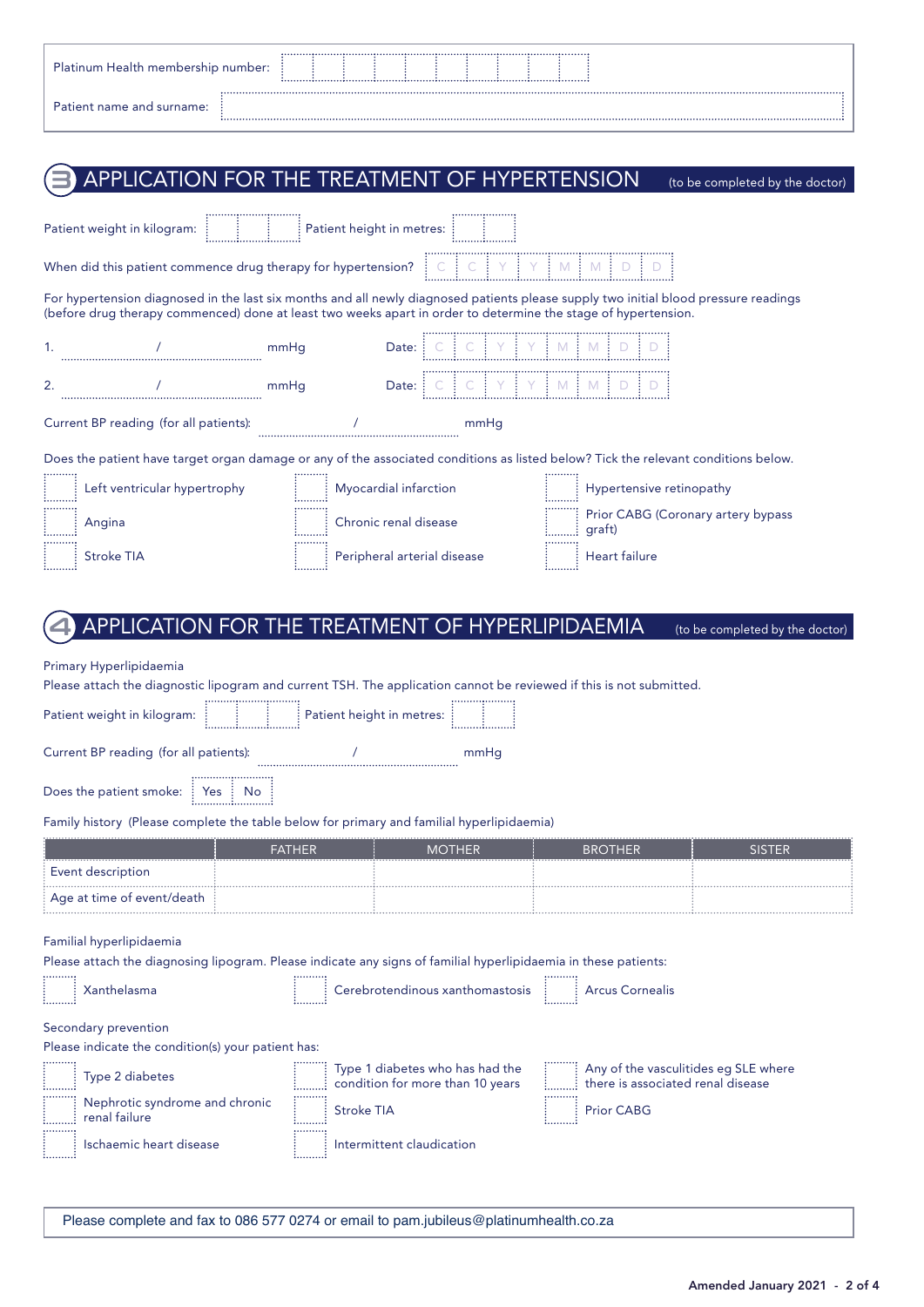| <b>Platinum Health membership number:</b> |  |  |  |  |  |  |
|-------------------------------------------|--|--|--|--|--|--|
| Patient name and surname:                 |  |  |  |  |  |  |

# **3** APPLICATION FOR THE TREATMENT OF HYPERTENSION (to be completed by the doctor)

|    | Patient weight in kilogram:                                                                                                                                                                                                                                                                                                                                                                                                                                                   |        |                   | Patient height in metres:                                            |                                                                           |               |
|----|-------------------------------------------------------------------------------------------------------------------------------------------------------------------------------------------------------------------------------------------------------------------------------------------------------------------------------------------------------------------------------------------------------------------------------------------------------------------------------|--------|-------------------|----------------------------------------------------------------------|---------------------------------------------------------------------------|---------------|
|    | When did this patient commence drug therapy for hypertension? $\begin{bmatrix} \cdot & \cdot \\ \cdot & \cdot \\ \cdot & \cdot \end{bmatrix}$ $\begin{bmatrix} \cdot & \cdot \\ \cdot & \cdot \\ \cdot & \cdot \end{bmatrix}$ $\begin{bmatrix} \cdot & \cdot \\ \cdot & \cdot \\ \cdot & \cdot \end{bmatrix}$ $\begin{bmatrix} \cdot & \cdot \\ \cdot & \cdot \\ \cdot & \cdot \end{bmatrix}$ $\begin{bmatrix} \cdot & \cdot \\ \cdot & \cdot \\ \cdot & \cdot \end{bmatrix}$ |        |                   |                                                                      |                                                                           |               |
|    | For hypertension diagnosed in the last six months and all newly diagnosed patients please supply two initial blood pressure readings<br>(before drug therapy commenced) done at least two weeks apart in order to determine the stage of hypertension.                                                                                                                                                                                                                        |        |                   |                                                                      |                                                                           |               |
| 1. |                                                                                                                                                                                                                                                                                                                                                                                                                                                                               | mmHq   |                   | Date:                                                                |                                                                           |               |
| 2. |                                                                                                                                                                                                                                                                                                                                                                                                                                                                               | mmHq   |                   | Date: $C \ C \ C \ Y \ Y \ M \ M \ D$                                |                                                                           |               |
|    | Current BP reading (for all patients):                                                                                                                                                                                                                                                                                                                                                                                                                                        |        |                   | mmHa                                                                 |                                                                           |               |
|    | Does the patient have target organ damage or any of the associated conditions as listed below? Tick the relevant conditions below.                                                                                                                                                                                                                                                                                                                                            |        |                   |                                                                      |                                                                           |               |
|    | Left ventricular hypertrophy                                                                                                                                                                                                                                                                                                                                                                                                                                                  |        |                   | Myocardial infarction                                                | Hypertensive retinopathy                                                  |               |
|    | : Angina                                                                                                                                                                                                                                                                                                                                                                                                                                                                      |        |                   | Chronic renal disease                                                | Prior CABG (Coronary artery bypass                                        |               |
|    | <b>Stroke TIA</b>                                                                                                                                                                                                                                                                                                                                                                                                                                                             |        |                   | Peripheral arterial disease                                          | Heart failure                                                             |               |
|    | Please attach the diagnostic lipogram and current TSH. The application cannot be reviewed if this is not submitted.<br>Patient weight in kilogram:<br>Current BP reading (for all patients):<br>Does the patient smoke: $\frac{1}{2}$ Yes $\frac{1}{2}$ No<br>Family history (Please complete the table below for primary and familial hyperlipidaemia)                                                                                                                       |        |                   | Patient height in metres:<br>mmHa                                    |                                                                           |               |
|    |                                                                                                                                                                                                                                                                                                                                                                                                                                                                               | FATHER |                   | <b>MOTHER</b>                                                        | BROTHER                                                                   | <b>SISTER</b> |
|    | Event description                                                                                                                                                                                                                                                                                                                                                                                                                                                             |        |                   |                                                                      |                                                                           |               |
|    | Age at time of event/death                                                                                                                                                                                                                                                                                                                                                                                                                                                    |        |                   |                                                                      |                                                                           |               |
|    | Familial hyperlipidaemia<br>Please attach the diagnosing lipogram. Please indicate any signs of familial hyperlipidaemia in these patients:                                                                                                                                                                                                                                                                                                                                   |        |                   |                                                                      |                                                                           |               |
|    | Xanthelasma                                                                                                                                                                                                                                                                                                                                                                                                                                                                   |        |                   | Cerebrotendinous xanthomastosis <b>All Algebrand</b> Arcus Cornealis |                                                                           |               |
|    | Secondary prevention<br>Please indicate the condition(s) your patient has:                                                                                                                                                                                                                                                                                                                                                                                                    |        |                   |                                                                      |                                                                           |               |
|    | Type 2 diabetes                                                                                                                                                                                                                                                                                                                                                                                                                                                               |        |                   | Type 1 diabetes who has had the<br>condition for more than 10 years  | Any of the vasculitides eg SLE where<br>there is associated renal disease |               |
|    | Nephrotic syndrome and chronic<br>! renal failure                                                                                                                                                                                                                                                                                                                                                                                                                             |        | <b>Stroke TIA</b> |                                                                      | <b>Prior CABG</b>                                                         |               |
|    | Ischaemic heart disease                                                                                                                                                                                                                                                                                                                                                                                                                                                       |        |                   | Intermittent claudication                                            |                                                                           |               |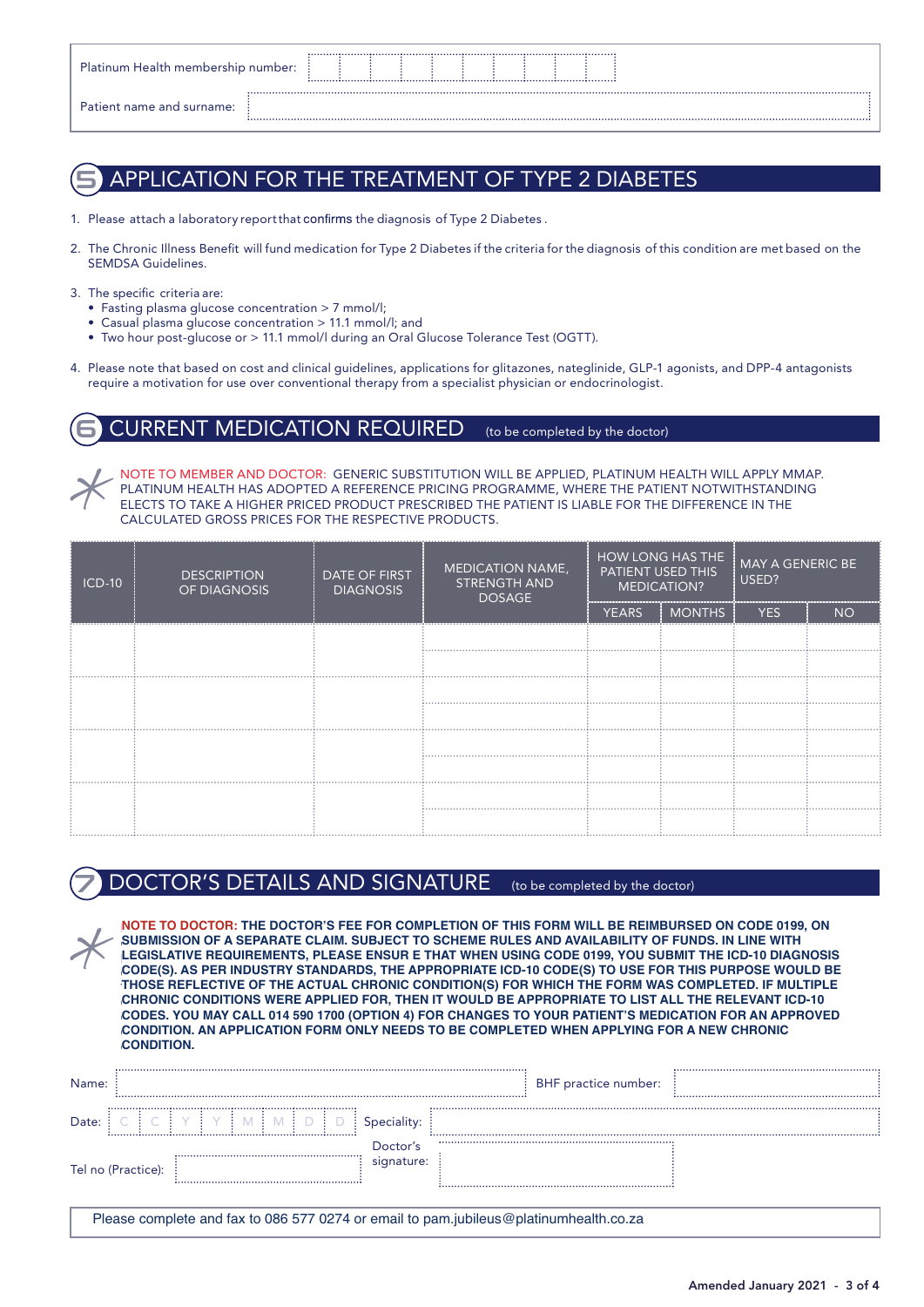| Platinum Health membership number: |  |  |  |  |  |
|------------------------------------|--|--|--|--|--|
| Patient name and surname:          |  |  |  |  |  |

## 5 APPLICATION FOR THE TREATMENT OF TYPE 2 DIABETES

- 1. Please attach a laboratory report that confirms the diagnosis of Type 2 Diabetes.
- 2. The Chronic Illness Benefit will fund medication for Type 2 Diabetes if the criteria for the diagnosis of this condition are met based on the SEMDSA Guidelines.
- 3. The specific criteria are:
	- Fasting plasma glucose concentration > 7 mmol/l;
	- Casual plasma glucose concentration > 11.1 mmol/l; and
	- Two hour post-glucose or > 11.1 mmol/l during an Oral Glucose Tolerance Test (OGTT).
- 4. Please note that based on cost and clinical guidelines, applications for glitazones, nateglinide, GLP-1 agonists, and DPP-4 antagonists require a motivation for use over conventional therapy from a specialist physician or endocrinologist.

### $\mathsf{JRRENT}$  MEDICATION REQUIRED (to be completed by the doctor)

NOTE TO MEMBER AND DOCTOR: GENERIC SUBSTITUTION WILL BE APPLIED, PLATINUM HEALTH WILL APPLY MMAP. PLATINUM HEALTH HAS ADOPTED A REFERENCE PRICING PROGRAMME, WHERE THE PATIENT NOTWITHSTANDING ELECTS TO TAKE A HIGHER PRICED PRODUCT PRESCRIBED THE PATIENT IS LIABLE FOR THE DIFFERENCE IN THE CALCULATED GROSS PRICES FOR THE RESPECTIVE PRODUCTS.

| $ICD-10$ | <b>DESCRIPTION</b><br>OF DIAGNOSIS | DATE OF FIRST<br><b>DIAGNOSIS</b> | MEDICATION NAME,<br><b>STRENGTH AND</b><br><b>DOSAGE</b> | HOW LONG HAS THE<br>PATIENT USED THIS<br><b>MEDICATION?</b> |               | <b>MAY A GENERIC BE</b><br>USED? |           |  |
|----------|------------------------------------|-----------------------------------|----------------------------------------------------------|-------------------------------------------------------------|---------------|----------------------------------|-----------|--|
|          |                                    |                                   |                                                          | <b>YEARS</b>                                                | <b>MONTHS</b> | <b>YES</b>                       | <b>NO</b> |  |
|          |                                    |                                   |                                                          |                                                             |               |                                  |           |  |
|          |                                    |                                   |                                                          |                                                             |               |                                  |           |  |
|          |                                    |                                   |                                                          |                                                             |               |                                  |           |  |
|          |                                    |                                   |                                                          |                                                             |               |                                  |           |  |
|          |                                    |                                   |                                                          |                                                             |               |                                  |           |  |
|          |                                    |                                   |                                                          |                                                             |               |                                  |           |  |
|          |                                    |                                   |                                                          |                                                             |               |                                  |           |  |
|          |                                    |                                   |                                                          |                                                             |               |                                  |           |  |

## DOCTOR'S DETAILS AND SIGNATURE (to be completed by the doctor)

NOTE TO DOCTOR: THE DOCTOR'S FEE FOR COMPLETION OF THIS FORM WILL BE REIMBURSED ON CODE 0199, **NOTE TO DOCTOR: THE DOCTOR'S FEE FOR COMPLETION OF THIS FORM WILL BE REIMBURSED ON CODE 0199, ON** SUBMISSION OF A SEPARATE CLAIM. SUBJECT TO SCHEME RULES AND AVAILABILITY OF FUNDS. IN LINE WITH LEGISLATIVE REQUIREMENTS, PLEASE ENSURE THAT WHEN USING CODE 0199, YOU SUBMIT THE ICD-10 DIAGNOSIS **LEGISLATIVE REQUIREMENTS, PLEASE ENSUR E THAT WHEN USING CODE 0199, YOU SUBMIT THE ICD-10 DIAGNOSIS** CODE(S). AS PER INDUSTRY STANDARDS, THE APPROPRIATE ICD-10 CODE(S) TO USE FOR THIS PURPOSE WOULD BE **CODE(S). AS PER INDUSTRY STANDARDS, THE APPROPRIATE ICD-10 CODE(S) TO USE FOR THIS PURPOSE WOULD BE** THOSE REFLECTIVE OF THE ACTUAL CHRONIC CONDITION(S) FOR WHICH THE FORM WAS COMPLETED. IF MULTIPLE **THOSE REFLECTIVE OF THE ACTUAL CHRONIC CONDITION(S) FOR WHICH THE FORM WAS COMPLETED. IF MULTIPLE** CHRONIC CONDITIONS WERE APPLIED FOR, THEN IT WOULD BE APPROPRIATE TO LIST ALL THE RELEVANT ICD-10 **CHRONIC CONDITIONS WERE APPLIED FOR, THEN IT WOULD BE APPROPRIATE TO LIST ALL THE RELEVANT ICD-10** CODES. YOU MAY CALL 014 590 1900 (OPTION 4) FOR CHANGES TO YOUR PATIENT'S MEDICATION FOR AN APPROVED **CODES. YOU MAY CALL 014 590 1700 (OPTION 4) FOR CHANGES TO YOUR PATIENT'S MEDICATION FOR AN APPROVED** CONDITION. AN APPLICATION FORM ONLY NEEDS TO BE COMPLETED WHEN APPLYING FOR A NEW CHRONIC **CONDITION. AN APPLICATION FORM ONLY NEEDS TO BE COMPLETED WHEN APPLYING FOR A NEW CHRONIC** CONDITION. **CONDITION.**

| Name:              |  |                        | BHF practice number: |  |
|--------------------|--|------------------------|----------------------|--|
| Date:              |  | Speciality:            |                      |  |
| Tel no (Practice): |  | Doctor's<br>signature: |                      |  |